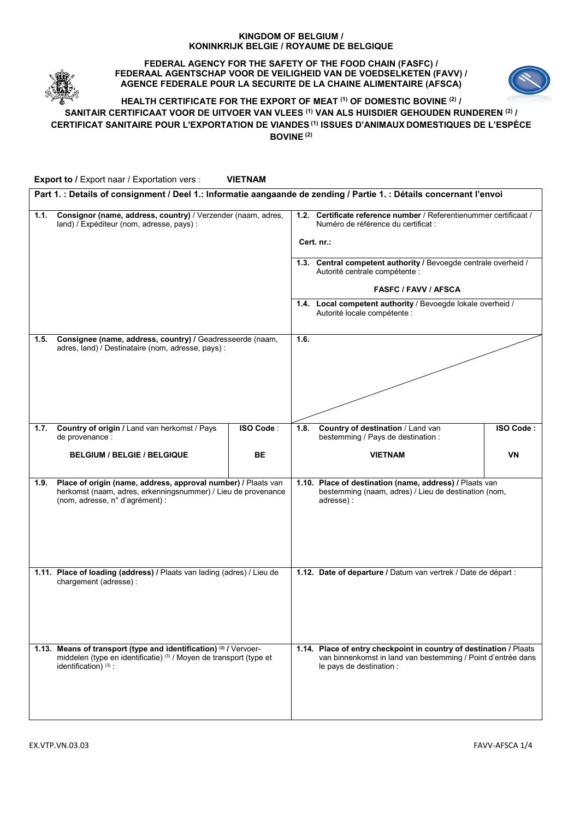## **KINGDOM OF BELGIUM / KONINKRIJK BELGIE / ROYAUME DE BELGIQUE**



**FEDERAL AGENCY FOR THE SAFETY OF THE FOOD CHAIN (FASFC) / FEDERAAL AGENTSCHAP VOOR DE VEILIGHEID VAN DE VOEDSELKETEN (FAVV) / AGENCE FEDERALE POUR LA SECURITE DE LA CHAINE ALIMENTAIRE (AFSCA)**



# **HEALTH CERTIFICATE FOR THE EXPORT OF MEAT (1) OF DOMESTIC BOVINE (2) / SANITAIR CERTIFICAAT VOOR DE UITVOER VAN VLEES (1) VAN ALS HUISDIER GEHOUDEN RUNDEREN (2) / CERTIFICAT SANITAIRE POUR L'EXPORTATION DE VIANDES (1) ISSUES D'ANIMAUX DOMESTIQUES DE L'ESPÈCE BOVINE (2)**

**Export to /** Export naar / Exportation vers : **VIETNAM**

|      | Part 1. : Details of consignment / Deel 1.: Informatie aangaande de zending / Partie 1. : Détails concernant l'envoi                                              |           |                                                                                                                 |                                                                                                                                                                |           |  |
|------|-------------------------------------------------------------------------------------------------------------------------------------------------------------------|-----------|-----------------------------------------------------------------------------------------------------------------|----------------------------------------------------------------------------------------------------------------------------------------------------------------|-----------|--|
| 1.1. | Consignor (name, address, country) / Verzender (naam, adres,<br>land) / Expéditeur (nom, adresse, pays) :                                                         |           |                                                                                                                 | 1.2. Certificate reference number / Referentienummer certificaat /<br>Numéro de référence du certificat :                                                      |           |  |
|      |                                                                                                                                                                   |           | Cert. nr.:<br>1.3. Central competent authority / Bevoegde centrale overheid /<br>Autorité centrale compétente : |                                                                                                                                                                |           |  |
|      |                                                                                                                                                                   |           |                                                                                                                 |                                                                                                                                                                |           |  |
|      |                                                                                                                                                                   |           |                                                                                                                 | <b>FASFC / FAVV / AFSCA</b>                                                                                                                                    |           |  |
|      |                                                                                                                                                                   |           | 1.4. Local competent authority / Bevoegde lokale overheid /<br>Autorité locale compétente :                     |                                                                                                                                                                |           |  |
| 1.5. | Consignee (name, address, country) / Geadresseerde (naam,<br>adres, land) / Destinataire (nom, adresse, pays) :                                                   |           | 1.6.                                                                                                            |                                                                                                                                                                |           |  |
|      |                                                                                                                                                                   |           |                                                                                                                 |                                                                                                                                                                |           |  |
| 1.7. | Country of origin / Land van herkomst / Pays<br>de provenance :                                                                                                   | ISO Code: | 1.8.                                                                                                            | Country of destination / Land van<br>bestemming / Pays de destination :                                                                                        | ISO Code: |  |
|      | <b>BELGIUM / BELGIE / BELGIQUE</b>                                                                                                                                | <b>BE</b> |                                                                                                                 | <b>VIETNAM</b>                                                                                                                                                 | VN        |  |
| 1.9. | Place of origin (name, address, approval number) / Plaats van<br>herkomst (naam, adres, erkenningsnummer) / Lieu de provenance<br>(nom, adresse, n° d'agrément) : |           |                                                                                                                 | 1.10. Place of destination (name, address) / Plaats van<br>bestemming (naam, adres) / Lieu de destination (nom,<br>adresse):                                   |           |  |
|      | 1.11. Place of loading (address) / Plaats van lading (adres) / Lieu de<br>chargement (adresse) :                                                                  |           |                                                                                                                 | 1.12. Date of departure / Datum van vertrek / Date de départ :                                                                                                 |           |  |
|      |                                                                                                                                                                   |           |                                                                                                                 |                                                                                                                                                                |           |  |
|      | 1.13. Means of transport (type and identification) (3) / Vervoer-<br>middelen (type en identificatie) (3) / Moyen de transport (type et<br>identification) (3):   |           |                                                                                                                 | 1.14. Place of entry checkpoint in country of destination / Plaats<br>van binnenkomst in land van bestemming / Point d'entrée dans<br>le pays de destination : |           |  |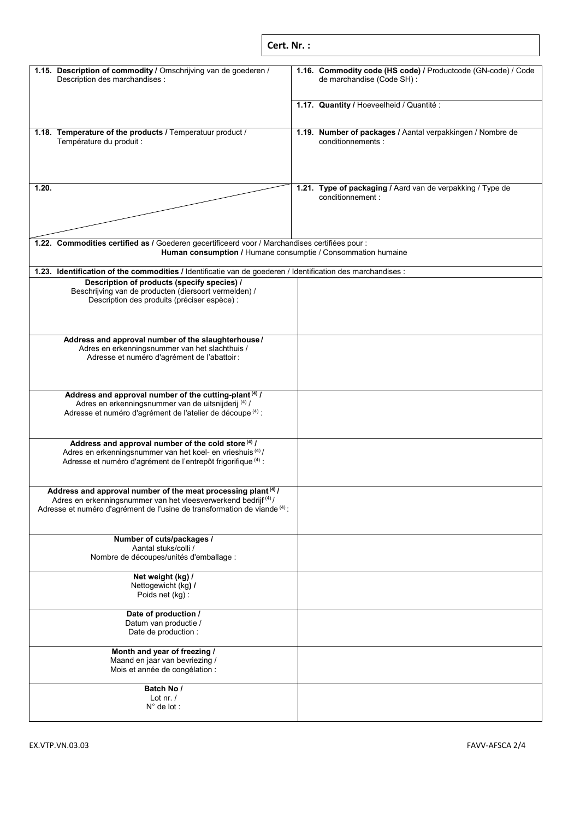| Cert. Nr.: |  |
|------------|--|
|            |  |

| 1.15. Description of commodity / Omschrijving van de goederen /<br>Description des marchandises :                                                                                                                                    | 1.16. Commodity code (HS code) / Productcode (GN-code) / Code<br>de marchandise (Code SH) : |  |  |  |  |
|--------------------------------------------------------------------------------------------------------------------------------------------------------------------------------------------------------------------------------------|---------------------------------------------------------------------------------------------|--|--|--|--|
|                                                                                                                                                                                                                                      | 1.17. Quantity / Hoeveelheid / Quantité :                                                   |  |  |  |  |
| 1.18. Temperature of the products / Temperatuur product /<br>Température du produit :                                                                                                                                                | 1.19. Number of packages / Aantal verpakkingen / Nombre de<br>conditionnements :            |  |  |  |  |
| 1.20.                                                                                                                                                                                                                                | 1.21. Type of packaging / Aard van de verpakking / Type de<br>conditionnement :             |  |  |  |  |
|                                                                                                                                                                                                                                      |                                                                                             |  |  |  |  |
| 1.22. Commodities certified as / Goederen gecertificeerd voor / Marchandises certifiées pour :<br>Human consumption / Humane consumptie / Consommation humaine                                                                       |                                                                                             |  |  |  |  |
| 1.23. Identification of the commodities / Identificatie van de goederen / Identification des marchandises :                                                                                                                          |                                                                                             |  |  |  |  |
| Description of products (specify species) /<br>Beschrijving van de producten (diersoort vermelden) /<br>Description des produits (préciser espèce) :                                                                                 |                                                                                             |  |  |  |  |
| Address and approval number of the slaughterhouse/<br>Adres en erkenningsnummer van het slachthuis /<br>Adresse et numéro d'agrément de l'abattoir :                                                                                 |                                                                                             |  |  |  |  |
| Address and approval number of the cutting-plant <sup>(4)</sup> /<br>Adres en erkenningsnummer van de uitsnijderij <sup>(4)</sup> /<br>Adresse et numéro d'agrément de l'atelier de découpe (4) :                                    |                                                                                             |  |  |  |  |
| Address and approval number of the cold store (4) /<br>Adres en erkenningsnummer van het koel- en vrieshuis <sup>(4)</sup> /<br>Adresse et numéro d'agrément de l'entrepôt frigorifique <sup>(4)</sup> :                             |                                                                                             |  |  |  |  |
| Address and approval number of the meat processing plant <sup>(4)</sup> /<br>Adres en erkenningsnummer van het vleesverwerkend bedrijf <sup>(4)</sup> /<br>Adresse et numéro d'agrément de l'usine de transformation de viande (4) : |                                                                                             |  |  |  |  |
| Number of cuts/packages /<br>Aantal stuks/colli /<br>Nombre de découpes/unités d'emballage :                                                                                                                                         |                                                                                             |  |  |  |  |
| Net weight (kg) /<br>Nettogewicht (kg) /<br>Poids net (kg):                                                                                                                                                                          |                                                                                             |  |  |  |  |
| Date of production /<br>Datum van productie /<br>Date de production :                                                                                                                                                                |                                                                                             |  |  |  |  |
| Month and year of freezing /<br>Maand en jaar van bevriezing /<br>Mois et année de congélation :                                                                                                                                     |                                                                                             |  |  |  |  |
| Batch No /<br>Lot nr. $/$<br>$N^{\circ}$ de lot :                                                                                                                                                                                    |                                                                                             |  |  |  |  |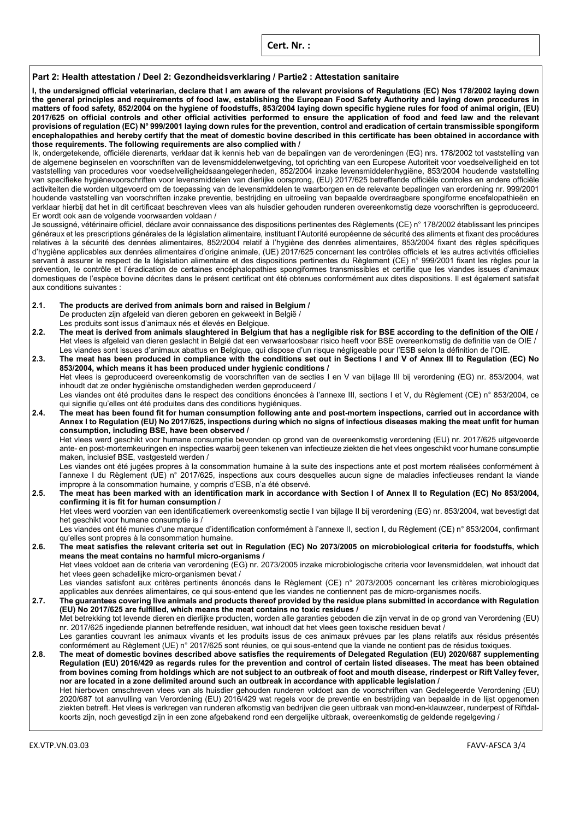**Cert. Nr. :**

## **Part 2: Health attestation / Deel 2: Gezondheidsverklaring / Partie2 : Attestation sanitaire**

**I, the undersigned official veterinarian, declare that I am aware of the relevant provisions of Regulations (EC) Nos 178/2002 laying down the general principles and requirements of food law, establishing the European Food Safety Authority and laying down procedures in matters of food safety, 852/2004 on the hygiene of foodstuffs, 853/2004 laying down specific hygiene rules for food of animal origin, (EU) 2017/625 on official controls and other official activities performed to ensure the application of food and feed law and the relevant provisions of regulation (EC) N° 999/2001 laying down rules for the prevention, control and eradication of certain transmissible spongiform encephalopathies and hereby certify that the meat of domestic bovine described in this certificate has been obtained in accordance with those requirements. The following requirements are also complied with /**

Ik, ondergetekende, officiële dierenarts, verklaar dat ik kennis heb van de bepalingen van de verordeningen (EG) nrs. 178/2002 tot vaststelling van de algemene beginselen en voorschriften van de levensmiddelenwetgeving, tot oprichting van een Europese Autoriteit voor voedselveiligheid en tot vaststelling van procedures voor voedselveiligheidsaangelegenheden, 852/2004 inzake levensmiddelenhygiëne, 853/2004 houdende vaststelling van specifieke hygiënevoorschriften voor levensmiddelen van dierlijke oorsprong, (EU) 2017/625 betreffende officiële controles en andere officiële activiteiten die worden uitgevoerd om de toepassing van de levensmiddelen te waarborgen en de relevante bepalingen van erordening nr. 999/2001 houdende vaststelling van voorschriften inzake preventie, bestrijding en uitroeiing van bepaalde overdraagbare spongiforme encefalopathieën en verklaar hierbij dat het in dit certificaat beschreven vlees van als huisdier gehouden runderen overeenkomstig deze voorschriften is geproduceerd. Er wordt ook aan de volgende voorwaarden voldaan /

Je soussigné, vétérinaire officiel, déclare avoir connaissance des dispositions pertinentes des Règlements (CE) n° 178/2002 établissant les principes généraux et les prescriptions générales de la législation alimentaire, instituant l'Autorité européenne de sécurité des aliments et fixant des procédures relatives à la sécurité des denrées alimentaires, 852/2004 relatif à l'hygiène des denrées alimentaires, 853/2004 fixant des règles spécifiques d'hygiène applicables aux denrées alimentaires d'origine animale, (UE) 2017/625 concernant les contrôles officiels et les autres activités officielles servant à assurer le respect de la législation alimentaire et des dispositions pertinentes du Règlement (CE) n° 999/2001 fixant les règles pour la prévention, le contrôle et l'éradication de certaines encéphalopathies spongiformes transmissibles et certifie que les viandes issues d'animaux domestiques de l'espèce bovine décrites dans le présent certificat ont été obtenues conformément aux dites dispositions. Il est également satisfait aux conditions suivantes :

- **2.1. The products are derived from animals born and raised in Belgium /**
	- De producten zijn afgeleid van dieren geboren en gekweekt in België /
- Les produits sont issus d'animaux nés et élevés en Belgique.
- **2.2. The meat is derived from animals slaughtered in Belgium that has a negligible risk for BSE according to the definition of the OIE /** Het vlees is afgeleid van dieren geslacht in België dat een verwaarloosbaar risico heeft voor BSE overeenkomstig de definitie van de OIE / Les viandes sont issues d'animaux abattus en Belgique, qui dispose d'un risque négligeable pour l'ESB selon la définition de l'OIE.
- **2.3. The meat has been produced in compliance with the conditions set out in Sections I and V of Annex III to Regulation (EC) No 853/2004, which means it has been produced under hygienic conditions /** Het vlees is geproduceerd overeenkomstig de voorschriften van de secties I en V van bijlage III bij verordening (EG) nr. 853/2004, wat

inhoudt dat ze onder hygiënische omstandigheden werden geproduceerd /

Les viandes ont été produites dans le respect des conditions énoncées à l'annexe III, sections I et V, du Règlement (CE) n° 853/2004, ce qui signifie qu'elles ont été produites dans des conditions hygiéniques.

**2.4. The meat has been found fit for human consumption following ante and post-mortem inspections, carried out in accordance with Annex I to Regulation (EU) No 2017/625, inspections during which no signs of infectious diseases making the meat unfit for human consumption, including BSE, have been observed /**

Het vlees werd geschikt voor humane consumptie bevonden op grond van de overeenkomstig verordening (EU) nr. 2017/625 uitgevoerde ante- en post-mortemkeuringen en inspecties waarbij geen tekenen van infectieuze ziekten die het vlees ongeschikt voor humane consumptie maken, inclusief BSE, vastgesteld werden /

Les viandes ont été jugées propres à la consommation humaine à la suite des inspections ante et post mortem réalisées conformément à l'annexe I du Règlement (UE) n° 2017/625, inspections aux cours desquelles aucun signe de maladies infectieuses rendant la viande impropre à la consommation humaine, y compris d'ESB, n'a été observé.

**2.5. The meat has been marked with an identification mark in accordance with Section I of Annex II to Regulation (EC) No 853/2004, confirming it is fit for human consumption /** Het vlees werd voorzien van een identificatiemerk overeenkomstig sectie I van bijlage II bij verordening (EG) nr. 853/2004, wat bevestigt dat

het geschikt voor humane consumptie is /

Les viandes ont été munies d'une marque d'identification conformément à l'annexe II, section I, du Règlement (CE) n° 853/2004, confirmant qu'elles sont propres à la consommation humaine.

**2.6. The meat satisfies the relevant criteria set out in Regulation (EC) No 2073/2005 on microbiological criteria for foodstuffs, which means the meat contains no harmful micro-organisms /**

Het vlees voldoet aan de criteria van verordening (EG) nr. 2073/2005 inzake microbiologische criteria voor levensmiddelen, wat inhoudt dat het vlees geen schadelijke micro-organismen bevat /

Les viandes satisfont aux critères pertinents énoncés dans le Règlement (CE) n° 2073/2005 concernant les critères microbiologiques applicables aux denrées alimentaires, ce qui sous-entend que les viandes ne contiennent pas de micro-organismes nocifs.

**2.7. The guarantees covering live animals and products thereof provided by the residue plans submitted in accordance with Regulation (EU) No 2017/625 are fulfilled, which means the meat contains no toxic residues /**

Met betrekking tot levende dieren en dierlijke producten, worden alle garanties geboden die zijn vervat in de op grond van Verordening (EU) nr. 2017/625 ingediende plannen betreffende residuen, wat inhoudt dat het vlees geen toxische residuen bevat /

Les garanties couvrant les animaux vivants et les produits issus de ces animaux prévues par les plans relatifs aux résidus présentés conformément au Règlement (UE) n° 2017/625 sont réunies, ce qui sous-entend que la viande ne contient pas de résidus toxiques.

**2.8. The meat of domestic bovines described above satisfies the requirements of Delegated Regulation (EU) 2020/687 supplementing Regulation (EU) 2016/429 as regards rules for the prevention and control of certain listed diseases. The meat has been obtained from bovines coming from holdings which are not subject to an outbreak of foot and mouth disease, rinderpest or Rift Valley fever, nor are located in a zone delimited around such an outbreak in accordance with applicable legislation /** Het hierboven omschreven vlees van als huisdier gehouden runderen voldoet aan de voorschriften van Gedelegeerde Verordening (EU)

2020/687 tot aanvulling van Verordening (EU) 2016/429 wat regels voor de preventie en bestrijding van bepaalde in de lijst opgenomen ziekten betreft. Het vlees is verkregen van runderen afkomstig van bedrijven die geen uitbraak van mond-en-klauwzeer, runderpest of Riftdalkoorts zijn, noch gevestigd zijn in een zone afgebakend rond een dergelijke uitbraak, overeenkomstig de geldende regelgeving /